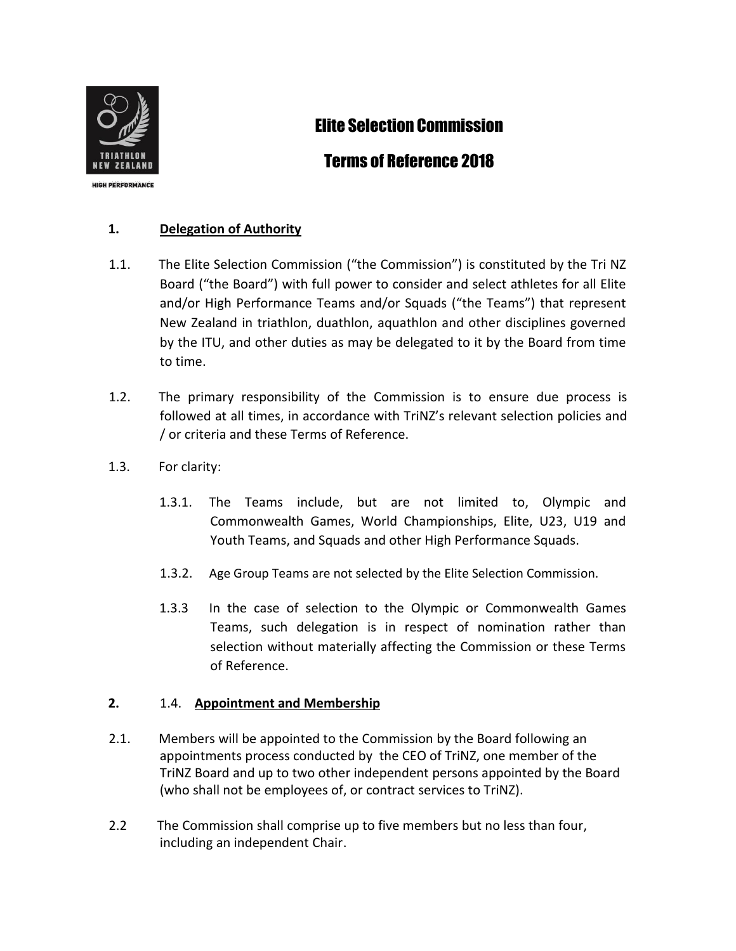

**HIGH PERFORMANCE** 

# Elite Selection Commission

## Terms of Reference 2018

### **1. Delegation of Authority**

- 1.1. The Elite Selection Commission ("the Commission") is constituted by the Tri NZ Board ("the Board") with full power to consider and select athletes for all Elite and/or High Performance Teams and/or Squads ("the Teams") that represent New Zealand in triathlon, duathlon, aquathlon and other disciplines governed by the ITU, and other duties as may be delegated to it by the Board from time to time.
- 1.2. The primary responsibility of the Commission is to ensure due process is followed at all times, in accordance with TriNZ's relevant selection policies and / or criteria and these Terms of Reference.
- 1.3. For clarity:
	- 1.3.1. The Teams include, but are not limited to, Olympic and Commonwealth Games, World Championships, Elite, U23, U19 and Youth Teams, and Squads and other High Performance Squads.
	- 1.3.2. Age Group Teams are not selected by the Elite Selection Commission.
	- 1.3.3 In the case of selection to the Olympic or Commonwealth Games Teams, such delegation is in respect of nomination rather than selection without materially affecting the Commission or these Terms of Reference.

#### **2.** 1.4. **Appointment and Membership**

- 2.1. Members will be appointed to the Commission by the Board following an appointments process conducted by the CEO of TriNZ, one member of the TriNZ Board and up to two other independent persons appointed by the Board (who shall not be employees of, or contract services to TriNZ).
- 2.2 The Commission shall comprise up to five members but no less than four, including an independent Chair.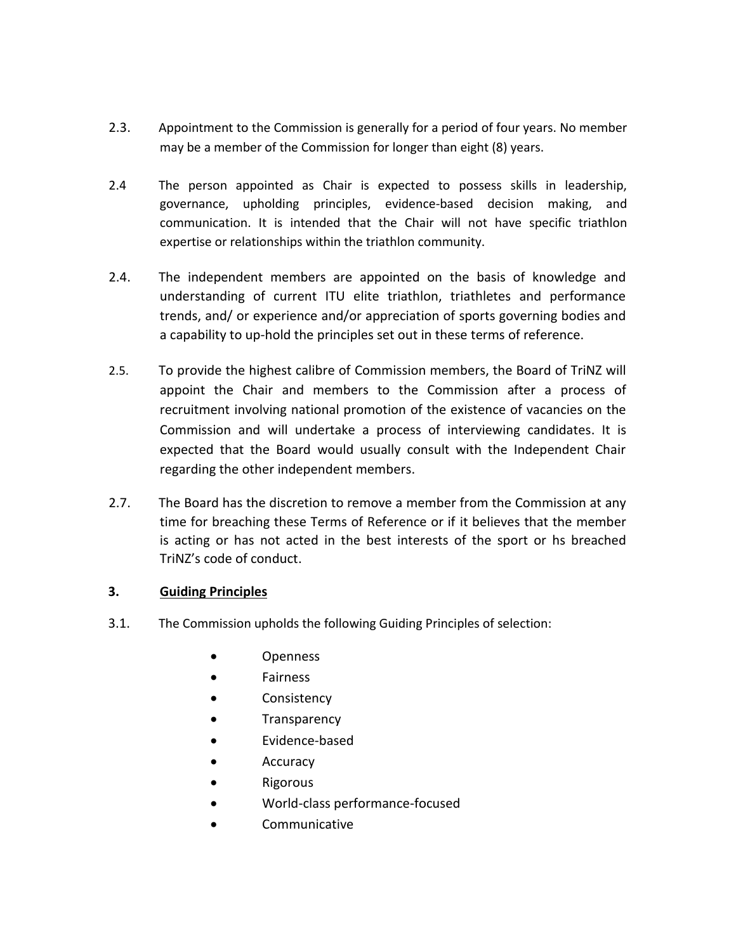- 2.3. Appointment to the Commission is generally for a period of four years. No member may be a member of the Commission for longer than eight (8) years.
- 2.4 The person appointed as Chair is expected to possess skills in leadership, governance, upholding principles, evidence-based decision making, and communication. It is intended that the Chair will not have specific triathlon expertise or relationships within the triathlon community.
- 2.4. The independent members are appointed on the basis of knowledge and understanding of current ITU elite triathlon, triathletes and performance trends, and/ or experience and/or appreciation of sports governing bodies and a capability to up-hold the principles set out in these terms of reference.
- 2.5. To provide the highest calibre of Commission members, the Board of TriNZ will appoint the Chair and members to the Commission after a process of recruitment involving national promotion of the existence of vacancies on the Commission and will undertake a process of interviewing candidates. It is expected that the Board would usually consult with the Independent Chair regarding the other independent members.
- 2.7. The Board has the discretion to remove a member from the Commission at any time for breaching these Terms of Reference or if it believes that the member is acting or has not acted in the best interests of the sport or hs breached TriNZ's code of conduct.

#### **3. Guiding Principles**

- 3.1. The Commission upholds the following Guiding Principles of selection:
	- Openness
	- Fairness
	- Consistency
	- **Transparency**
	- Evidence-based
	- **Accuracy**
	- Rigorous
	- World-class performance-focused
	- Communicative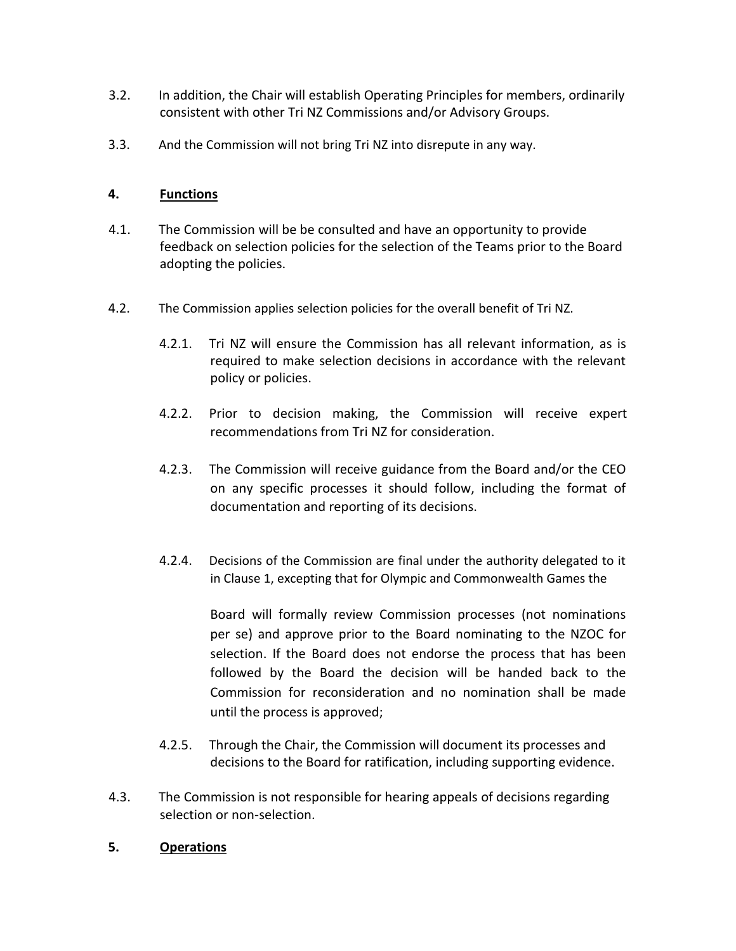- 3.2. In addition, the Chair will establish Operating Principles for members, ordinarily consistent with other Tri NZ Commissions and/or Advisory Groups.
- 3.3. And the Commission will not bring Tri NZ into disrepute in any way.

#### **4. Functions**

- 4.1. The Commission will be be consulted and have an opportunity to provide feedback on selection policies for the selection of the Teams prior to the Board adopting the policies.
- 4.2. The Commission applies selection policies for the overall benefit of Tri NZ.
	- 4.2.1. Tri NZ will ensure the Commission has all relevant information, as is required to make selection decisions in accordance with the relevant policy or policies.
	- 4.2.2. Prior to decision making, the Commission will receive expert recommendations from Tri NZ for consideration.
	- 4.2.3. The Commission will receive guidance from the Board and/or the CEO on any specific processes it should follow, including the format of documentation and reporting of its decisions.
	- 4.2.4. Decisions of the Commission are final under the authority delegated to it in Clause 1, excepting that for Olympic and Commonwealth Games the

Board will formally review Commission processes (not nominations per se) and approve prior to the Board nominating to the NZOC for selection. If the Board does not endorse the process that has been followed by the Board the decision will be handed back to the Commission for reconsideration and no nomination shall be made until the process is approved;

- 4.2.5. Through the Chair, the Commission will document its processes and decisions to the Board for ratification, including supporting evidence.
- 4.3. The Commission is not responsible for hearing appeals of decisions regarding selection or non-selection.

#### **5. Operations**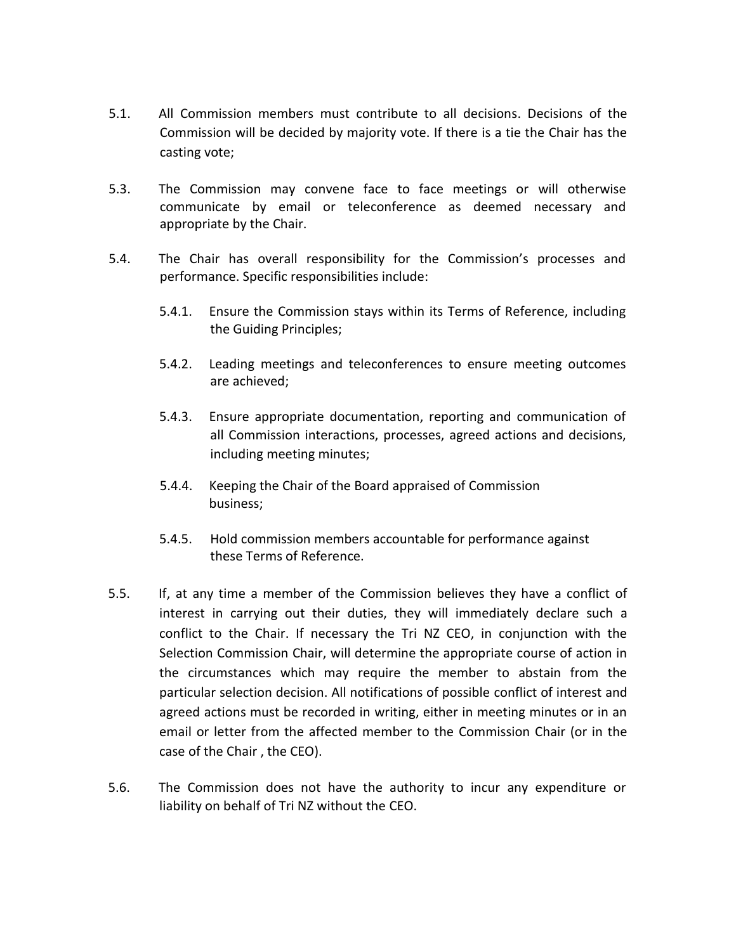- 5.1. All Commission members must contribute to all decisions. Decisions of the Commission will be decided by majority vote. If there is a tie the Chair has the casting vote;
- 5.3. The Commission may convene face to face meetings or will otherwise communicate by email or teleconference as deemed necessary and appropriate by the Chair.
- 5.4. The Chair has overall responsibility for the Commission's processes and performance. Specific responsibilities include:
	- 5.4.1. Ensure the Commission stays within its Terms of Reference, including the Guiding Principles;
	- 5.4.2. Leading meetings and teleconferences to ensure meeting outcomes are achieved;
	- 5.4.3. Ensure appropriate documentation, reporting and communication of all Commission interactions, processes, agreed actions and decisions, including meeting minutes;
	- 5.4.4. Keeping the Chair of the Board appraised of Commission business;
	- 5.4.5. Hold commission members accountable for performance against these Terms of Reference.
- 5.5. If, at any time a member of the Commission believes they have a conflict of interest in carrying out their duties, they will immediately declare such a conflict to the Chair. If necessary the Tri NZ CEO, in conjunction with the Selection Commission Chair, will determine the appropriate course of action in the circumstances which may require the member to abstain from the particular selection decision. All notifications of possible conflict of interest and agreed actions must be recorded in writing, either in meeting minutes or in an email or letter from the affected member to the Commission Chair (or in the case of the Chair , the CEO).
- 5.6. The Commission does not have the authority to incur any expenditure or liability on behalf of Tri NZ without the CEO.